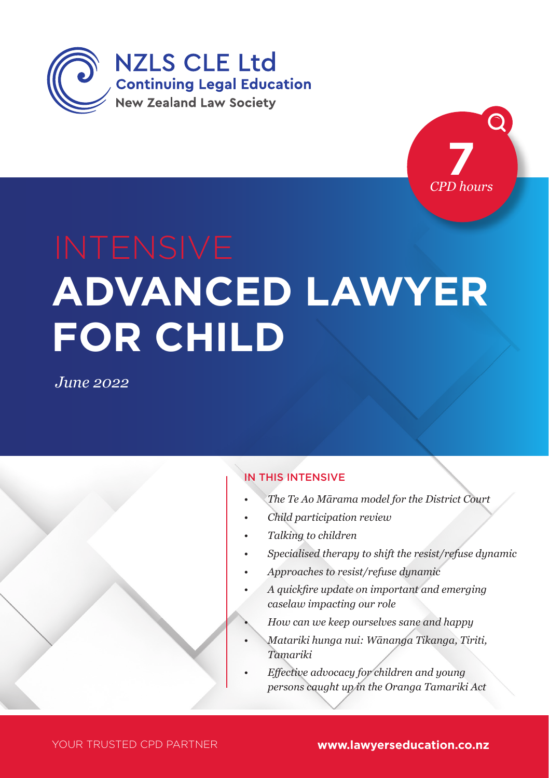



# **ADVANCED LAWYER FOR CHILD**

*June 2022*

#### IN THIS INTENSIVE

- *• The Te Ao Mārama model for the District Court*
- *• Child participation review*
- *• Talking to children*
- *• Specialised therapy to shift the resist/refuse dynamic*
- *• Approaches to resist/refuse dynamic*
- *• A quickfire update on important and emerging caselaw impacting our role*
	- *• How can we keep ourselves sane and happy*
- *• Matariki hunga nui: Wānanga Tikanga, Tiriti, Tamariki*
- *• Effective advocacy for children and young persons caught up in the Oranga Tamariki Act*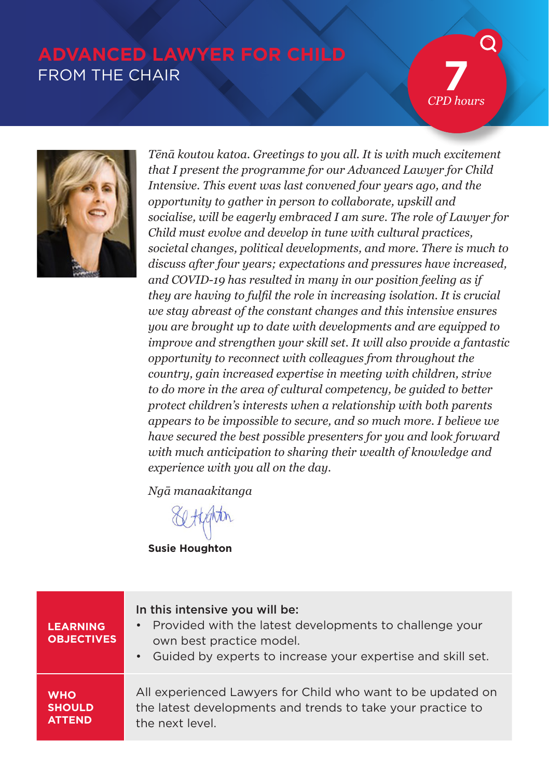# **ADVANCED LAWYER FOR CHILD** FROM THE CHAIR

**7** *CPD hours*



*Tēnā koutou katoa. Greetings to you all. It is with much excitement that I present the programme for our Advanced Lawyer for Child Intensive. This event was last convened four years ago, and the opportunity to gather in person to collaborate, upskill and socialise, will be eagerly embraced I am sure. The role of Lawyer for Child must evolve and develop in tune with cultural practices, societal changes, political developments, and more. There is much to discuss after four years; expectations and pressures have increased, and COVID-19 has resulted in many in our position feeling as if they are having to fulfil the role in increasing isolation. It is crucial we stay abreast of the constant changes and this intensive ensures you are brought up to date with developments and are equipped to improve and strengthen your skill set. It will also provide a fantastic opportunity to reconnect with colleagues from throughout the country, gain increased expertise in meeting with children, strive to do more in the area of cultural competency, be guided to better protect children's interests when a relationship with both parents appears to be impossible to secure, and so much more. I believe we have secured the best possible presenters for you and look forward with much anticipation to sharing their wealth of knowledge and experience with you all on the day.*

*Ngā manaakitanga*

**Susie Houghton**

| <b>LEARNING</b><br><b>OBJECTIVES</b> | In this intensive you will be:<br>• Provided with the latest developments to challenge your<br>own best practice model.<br>Guided by experts to increase your expertise and skill set.<br>$\bullet$ |
|--------------------------------------|-----------------------------------------------------------------------------------------------------------------------------------------------------------------------------------------------------|
| <b>WHO</b>                           | All experienced Lawyers for Child who want to be updated on                                                                                                                                         |
| <b>SHOULD</b>                        | the latest developments and trends to take your practice to                                                                                                                                         |
| <b>ATTEND</b>                        | the next level.                                                                                                                                                                                     |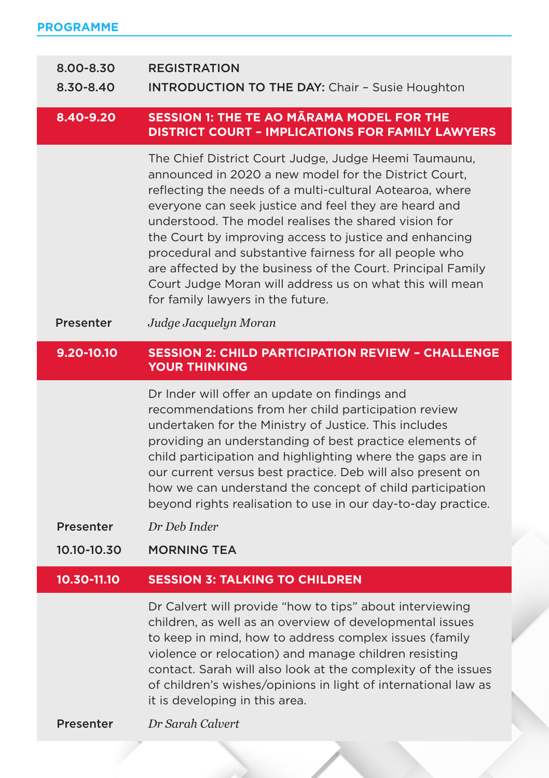| 8.00-8.30<br>8.30-8.40 | <b>REGISTRATION</b><br><b>INTRODUCTION TO THE DAY: Chair - Susie Houghton</b>                                                                                                                                                                                                                                                                                                                                                                                                                                                                                                   |  |  |  |  |
|------------------------|---------------------------------------------------------------------------------------------------------------------------------------------------------------------------------------------------------------------------------------------------------------------------------------------------------------------------------------------------------------------------------------------------------------------------------------------------------------------------------------------------------------------------------------------------------------------------------|--|--|--|--|
| 8.40-9.20              | <b>SESSION 1: THE TE AO MARAMA MODEL FOR THE</b><br><b>DISTRICT COURT - IMPLICATIONS FOR FAMILY LAWYERS</b>                                                                                                                                                                                                                                                                                                                                                                                                                                                                     |  |  |  |  |
|                        | The Chief District Court Judge, Judge Heemi Taumaunu,<br>announced in 2020 a new model for the District Court,<br>reflecting the needs of a multi-cultural Aotearoa, where<br>everyone can seek justice and feel they are heard and<br>understood. The model realises the shared vision for<br>the Court by improving access to justice and enhancing<br>procedural and substantive fairness for all people who<br>are affected by the business of the Court. Principal Family<br>Court Judge Moran will address us on what this will mean<br>for family lawyers in the future. |  |  |  |  |
| <b>Presenter</b>       | Judge Jacquelyn Moran                                                                                                                                                                                                                                                                                                                                                                                                                                                                                                                                                           |  |  |  |  |
| 9.20-10.10             | <b>SESSION 2: CHILD PARTICIPATION REVIEW - CHALLENGE</b><br><b>YOUR THINKING</b>                                                                                                                                                                                                                                                                                                                                                                                                                                                                                                |  |  |  |  |
|                        | Dr Inder will offer an update on findings and<br>recommendations from her child participation review<br>undertaken for the Ministry of Justice. This includes<br>providing an understanding of best practice elements of<br>child participation and highlighting where the gaps are in<br>our current versus best practice. Deb will also present on<br>how we can understand the concept of child participation<br>beyond rights realisation to use in our day-to-day practice.                                                                                                |  |  |  |  |
| <b>Presenter</b>       | Dr Deb Inder                                                                                                                                                                                                                                                                                                                                                                                                                                                                                                                                                                    |  |  |  |  |
| 10.10-10.30            | <b>MORNING TEA</b>                                                                                                                                                                                                                                                                                                                                                                                                                                                                                                                                                              |  |  |  |  |
| 10.30-11.10            | <b>SESSION 3: TALKING TO CHILDREN</b>                                                                                                                                                                                                                                                                                                                                                                                                                                                                                                                                           |  |  |  |  |
|                        | Dr Calvert will provide "how to tips" about interviewing<br>children, as well as an overview of developmental issues<br>to keep in mind, how to address complex issues (family<br>violence or relocation) and manage children resisting<br>contact. Sarah will also look at the complexity of the issues<br>of children's wishes/opinions in light of international law as<br>it is developing in this area.                                                                                                                                                                    |  |  |  |  |
| <b>Presenter</b>       | Dr Sarah Calvert                                                                                                                                                                                                                                                                                                                                                                                                                                                                                                                                                                |  |  |  |  |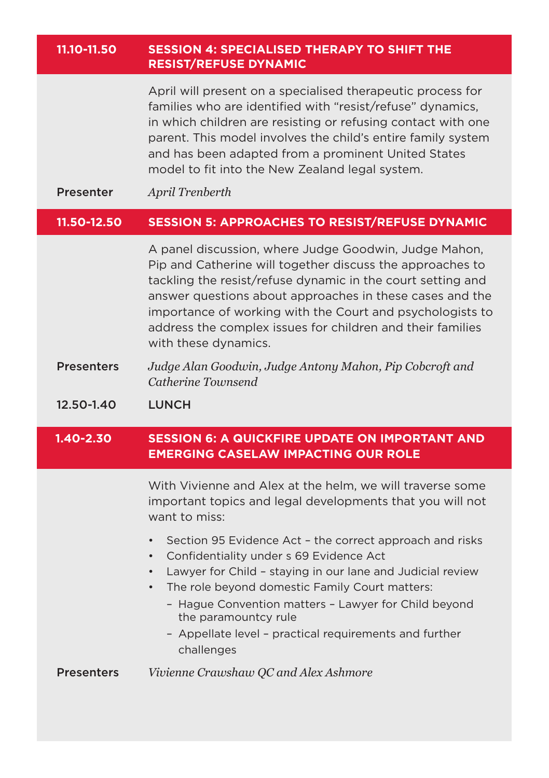#### **11.10-11.50 SESSION 4: SPECIALISED THERAPY TO SHIFT THE RESIST/REFUSE DYNAMIC**

April will present on a specialised therapeutic process for families who are identified with "resist/refuse" dynamics, in which children are resisting or refusing contact with one parent. This model involves the child's entire family system and has been adapted from a prominent United States model to fit into the New Zealand legal system.

Presenter *April Trenberth*

#### **11.50-12.50 SESSION 5: APPROACHES TO RESIST/REFUSE DYNAMIC**

A panel discussion, where Judge Goodwin, Judge Mahon, Pip and Catherine will together discuss the approaches to tackling the resist/refuse dynamic in the court setting and answer questions about approaches in these cases and the importance of working with the Court and psychologists to address the complex issues for children and their families with these dynamics.

Presenters *Judge Alan Goodwin, Judge Antony Mahon, Pip Cobcroft and Catherine Townsend*

12.50-1.40 LUNCH

I

#### **1.40-2.30 SESSION 6: A QUICKFIRE UPDATE ON IMPORTANT AND EMERGING CASELAW IMPACTING OUR ROLE**

 With Vivienne and Alex at the helm, we will traverse some important topics and legal developments that you will not want to miss:

- Section 95 Evidence Act the correct approach and risks
- Confidentiality under s 69 Evidence Act
- Lawyer for Child staying in our lane and Judicial review
- The role beyond domestic Family Court matters:
	- Hague Convention matters Lawyer for Child beyond the paramountcy rule
	- Appellate level practical requirements and further challenges

Presenters *Vivienne Crawshaw QC and Alex Ashmore*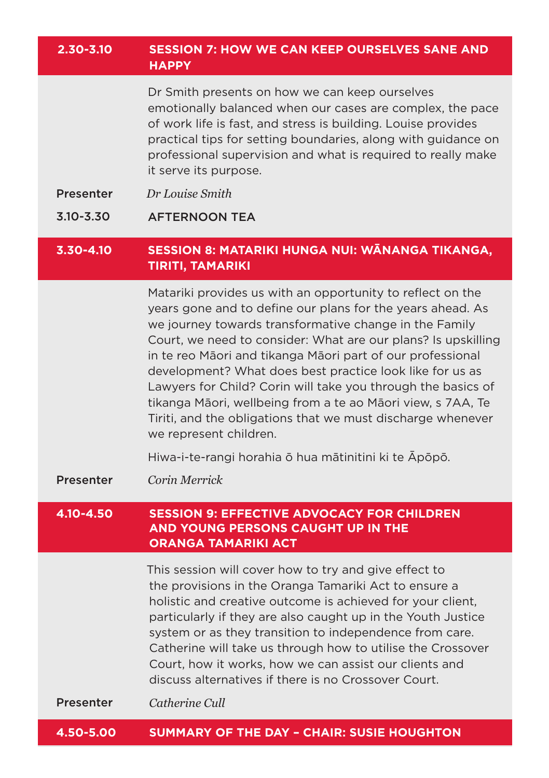#### **2.30-3.10 SESSION 7: HOW WE CAN KEEP OURSELVES SANE AND HAPPY**

Dr Smith presents on how we can keep ourselves emotionally balanced when our cases are complex, the pace of work life is fast, and stress is building. Louise provides practical tips for setting boundaries, along with guidance on professional supervision and what is required to really make it serve its purpose.

- Presenter *Dr Louise Smith*
- **3.10-3.30 AFTERNOON TEA**

#### **3.30-4.10 SESSION 8: MATARIKI HUNGA NUI: WĀNANGA TIKANGA, TIRITI, TAMARIKI**

Matariki provides us with an opportunity to reflect on the years gone and to define our plans for the years ahead. As we journey towards transformative change in the Family Court, we need to consider: What are our plans? Is upskilling in te reo Māori and tikanga Māori part of our professional development? What does best practice look like for us as Lawyers for Child? Corin will take you through the basics of tikanga Māori, wellbeing from a te ao Māori view, s 7AA, Te Tiriti, and the obligations that we must discharge whenever we represent children.

Hiwa-i-te-rangi horahia ō hua mātinitini ki te Āpōpō.

Presenter *Corin Merrick* 

#### **4.10-4.50 SESSION 9: EFFECTIVE ADVOCACY FOR CHILDREN AND YOUNG PERSONS CAUGHT UP IN THE ORANGA TAMARIKI ACT**

This session will cover how to try and give effect to the provisions in the Oranga Tamariki Act to ensure a holistic and creative outcome is achieved for your client, particularly if they are also caught up in the Youth Justice system or as they transition to independence from care. Catherine will take us through how to utilise the Crossover Court, how it works, how we can assist our clients and discuss alternatives if there is no Crossover Court.

Presenter *Catherine Cull*

**4.50-5.00 SUMMARY OF THE DAY – CHAIR: SUSIE HOUGHTON**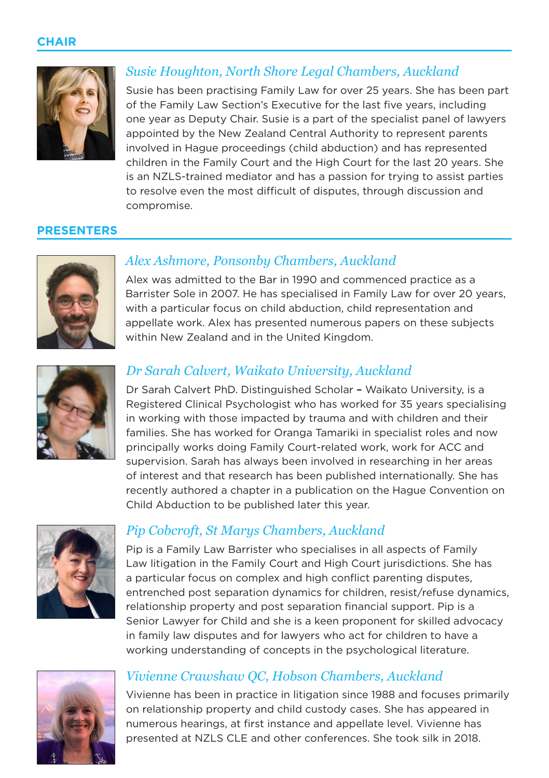

## *Susie Houghton, North Shore Legal Chambers, Auckland*

Susie has been practising Family Law for over 25 years. She has been part of the Family Law Section's Executive for the last five years, including one year as Deputy Chair. Susie is a part of the specialist panel of lawyers appointed by the New Zealand Central Authority to represent parents involved in Hague proceedings (child abduction) and has represented children in the Family Court and the High Court for the last 20 years. She is an NZLS-trained mediator and has a passion for trying to assist parties to resolve even the most difficult of disputes, through discussion and compromise.

#### **PRESENTERS**



## *Alex Ashmore, Ponsonby Chambers, Auckland*

Alex was admitted to the Bar in 1990 and commenced practice as a Barrister Sole in 2007. He has specialised in Family Law for over 20 years, with a particular focus on child abduction, child representation and appellate work. Alex has presented numerous papers on these subjects within New Zealand and in the United Kingdom.



## *Dr Sarah Calvert, Waikato University, Auckland*

Dr Sarah Calvert PhD. Distinguished Scholar – Waikato University, is a Registered Clinical Psychologist who has worked for 35 years specialising in working with those impacted by trauma and with children and their families. She has worked for Oranga Tamariki in specialist roles and now principally works doing Family Court-related work, work for ACC and supervision. Sarah has always been involved in researching in her areas of interest and that research has been published internationally. She has recently authored a chapter in a publication on the Hague Convention on Child Abduction to be published later this year.



## *Pip Cobcroft, St Marys Chambers, Auckland*

Pip is a Family Law Barrister who specialises in all aspects of Family Law litigation in the Family Court and High Court jurisdictions. She has a particular focus on complex and high conflict parenting disputes, entrenched post separation dynamics for children, resist/refuse dynamics, relationship property and post separation financial support. Pip is a Senior Lawyer for Child and she is a keen proponent for skilled advocacy in family law disputes and for lawyers who act for children to have a working understanding of concepts in the psychological literature.



#### *Vivienne Crawshaw QC, Hobson Chambers, Auckland*

Vivienne has been in practice in litigation since 1988 and focuses primarily on relationship property and child custody cases. She has appeared in numerous hearings, at first instance and appellate level. Vivienne has presented at NZLS CLE and other conferences. She took silk in 2018.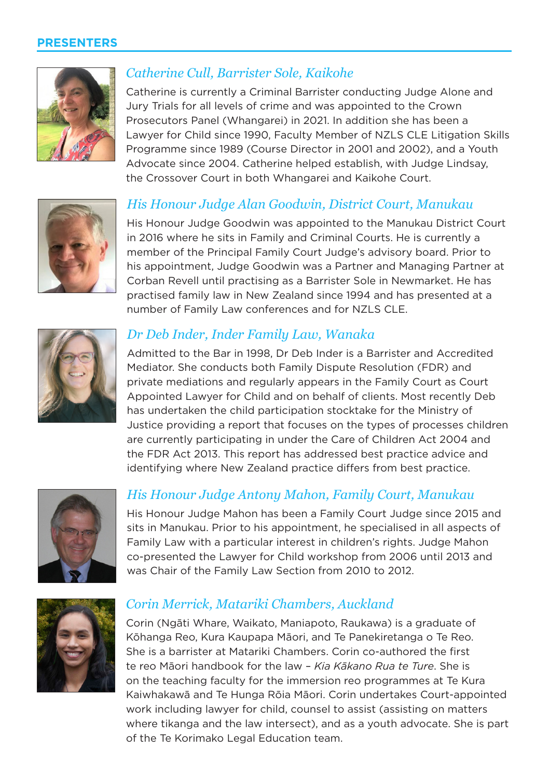#### **PRESENTERS**



### *Catherine Cull, Barrister Sole, Kaikohe*

Catherine is currently a Criminal Barrister conducting Judge Alone and Jury Trials for all levels of crime and was appointed to the Crown Prosecutors Panel (Whangarei) in 2021. In addition she has been a Lawyer for Child since 1990, Faculty Member of NZLS CLE Litigation Skills Programme since 1989 (Course Director in 2001 and 2002), and a Youth Advocate since 2004. Catherine helped establish, with Judge Lindsay, the Crossover Court in both Whangarei and Kaikohe Court.



#### *His Honour Judge Alan Goodwin, District Court, Manukau*

His Honour Judge Goodwin was appointed to the Manukau District Court in 2016 where he sits in Family and Criminal Courts. He is currently a member of the Principal Family Court Judge's advisory board. Prior to his appointment, Judge Goodwin was a Partner and Managing Partner at Corban Revell until practising as a Barrister Sole in Newmarket. He has practised family law in New Zealand since 1994 and has presented at a number of Family Law conferences and for NZLS CLE.



#### *Dr Deb Inder, Inder Family Law, Wanaka*

Admitted to the Bar in 1998, Dr Deb Inder is a Barrister and Accredited Mediator. She conducts both Family Dispute Resolution (FDR) and private mediations and regularly appears in the Family Court as Court Appointed Lawyer for Child and on behalf of clients. Most recently Deb has undertaken the child participation stocktake for the Ministry of Justice providing a report that focuses on the types of processes children are currently participating in under the Care of Children Act 2004 and the FDR Act 2013. This report has addressed best practice advice and identifying where New Zealand practice differs from best practice.



#### *His Honour Judge Antony Mahon, Family Court, Manukau*

His Honour Judge Mahon has been a Family Court Judge since 2015 and sits in Manukau. Prior to his appointment, he specialised in all aspects of Family Law with a particular interest in children's rights. Judge Mahon co-presented the Lawyer for Child workshop from 2006 until 2013 and was Chair of the Family Law Section from 2010 to 2012.



#### *Corin Merrick, Matariki Chambers, Auckland*

Corin (Ngāti Whare, Waikato, Maniapoto, Raukawa) is a graduate of Kōhanga Reo, Kura Kaupapa Māori, and Te Panekiretanga o Te Reo. She is a barrister at Matariki Chambers. Corin co-authored the first te reo Māori handbook for the law – *Kia Kākano Rua te Ture*. She is on the teaching faculty for the immersion reo programmes at Te Kura Kaiwhakawā and Te Hunga Rōia Māori. Corin undertakes Court-appointed work including lawyer for child, counsel to assist (assisting on matters where tikanga and the law intersect), and as a youth advocate. She is part of the Te Korimako Legal Education team.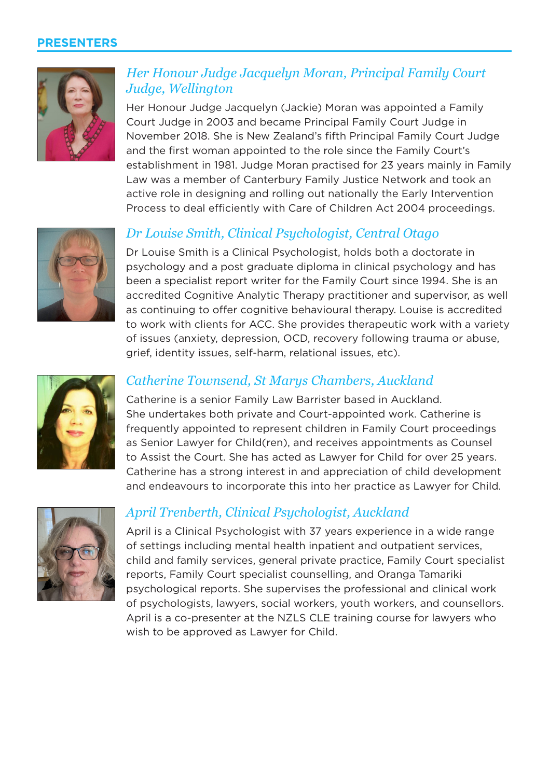#### **PRESENTERS**



## *Her Honour Judge Jacquelyn Moran, Principal Family Court Judge, Wellington*

Her Honour Judge Jacquelyn (Jackie) Moran was appointed a Family Court Judge in 2003 and became Principal Family Court Judge in November 2018. She is New Zealand's fifth Principal Family Court Judge and the first woman appointed to the role since the Family Court's establishment in 1981. Judge Moran practised for 23 years mainly in Family Law was a member of Canterbury Family Justice Network and took an active role in designing and rolling out nationally the Early Intervention Process to deal efficiently with Care of Children Act 2004 proceedings.



## *Dr Louise Smith, Clinical Psychologist, Central Otago*

Dr Louise Smith is a Clinical Psychologist, holds both a doctorate in psychology and a post graduate diploma in clinical psychology and has been a specialist report writer for the Family Court since 1994. She is an accredited Cognitive Analytic Therapy practitioner and supervisor, as well as continuing to offer cognitive behavioural therapy. Louise is accredited to work with clients for ACC. She provides therapeutic work with a variety of issues (anxiety, depression, OCD, recovery following trauma or abuse, grief, identity issues, self-harm, relational issues, etc).



#### *Catherine Townsend, St Marys Chambers, Auckland*

Catherine is a senior Family Law Barrister based in Auckland. She undertakes both private and Court-appointed work. Catherine is frequently appointed to represent children in Family Court proceedings as Senior Lawyer for Child(ren), and receives appointments as Counsel to Assist the Court. She has acted as Lawyer for Child for over 25 years. Catherine has a strong interest in and appreciation of child development and endeavours to incorporate this into her practice as Lawyer for Child.



#### *April Trenberth, Clinical Psychologist, Auckland*

April is a Clinical Psychologist with 37 years experience in a wide range of settings including mental health inpatient and outpatient services, child and family services, general private practice, Family Court specialist reports, Family Court specialist counselling, and Oranga Tamariki psychological reports. She supervises the professional and clinical work of psychologists, lawyers, social workers, youth workers, and counsellors. April is a co-presenter at the NZLS CLE training course for lawyers who wish to be approved as Lawyer for Child.